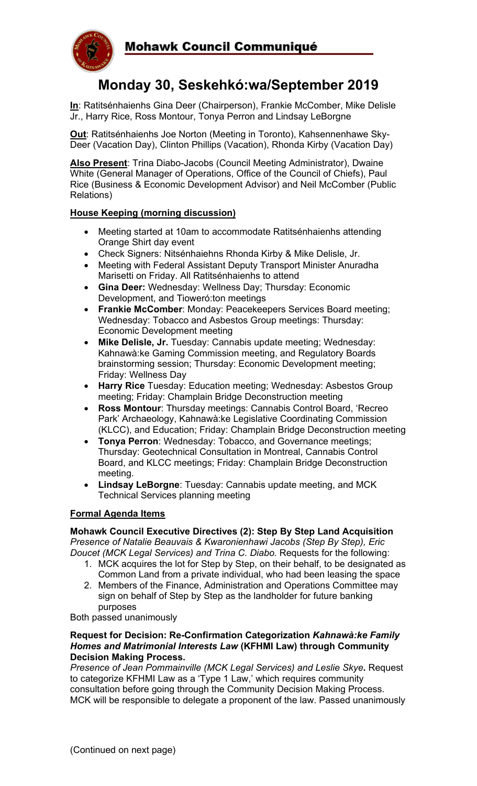

# **Monday 30, Seskehkó:wa/September 2019**

**In**: Ratitsénhaienhs Gina Deer (Chairperson), Frankie McComber, Mike Delisle Jr., Harry Rice, Ross Montour, Tonya Perron and Lindsay LeBorgne

**Out**: Ratitsénhaienhs Joe Norton (Meeting in Toronto), Kahsennenhawe Sky-Deer (Vacation Day), Clinton Phillips (Vacation), Rhonda Kirby (Vacation Day)

**Also Present**: Trina Diabo-Jacobs (Council Meeting Administrator), Dwaine White (General Manager of Operations, Office of the Council of Chiefs), Paul Rice (Business & Economic Development Advisor) and Neil McComber (Public Relations)

# **House Keeping (morning discussion)**

- Meeting started at 10am to accommodate Ratitsénhaienhs attending Orange Shirt day event
- Check Signers: Nitsénhaiehns Rhonda Kirby & Mike Delisle, Jr.
- Meeting with Federal Assistant Deputy Transport Minister Anuradha Marisetti on Friday. All Ratitsénhaienhs to attend
- **Gina Deer:** Wednesday: Wellness Day; Thursday: Economic Development, and Tioweró:ton meetings
- **Frankie McComber**: Monday: Peacekeepers Services Board meeting; Wednesday: Tobacco and Asbestos Group meetings: Thursday: Economic Development meeting
- **Mike Delisle, Jr.** Tuesday: Cannabis update meeting; Wednesday: Kahnawà:ke Gaming Commission meeting, and Regulatory Boards brainstorming session; Thursday: Economic Development meeting; Friday: Wellness Day
- **Harry Rice** Tuesday: Education meeting; Wednesday: Asbestos Group meeting; Friday: Champlain Bridge Deconstruction meeting
- **Ross Montour**: Thursday meetings: Cannabis Control Board, 'Recreo Park' Archaeology, Kahnawà:ke Legislative Coordinating Commission (KLCC), and Education; Friday: Champlain Bridge Deconstruction meeting
- **Tonya Perron**: Wednesday: Tobacco, and Governance meetings; Thursday: Geotechnical Consultation in Montreal, Cannabis Control Board, and KLCC meetings; Friday: Champlain Bridge Deconstruction meeting.
- **Lindsay LeBorgne**: Tuesday: Cannabis update meeting, and MCK Technical Services planning meeting

# **Formal Agenda Items**

**Mohawk Council Executive Directives (2): Step By Step Land Acquisition** *Presence of Natalie Beauvais & Kwaronienhawi Jacobs (Step By Step), Eric Doucet (MCK Legal Services) and Trina C. Diabo.* Requests for the following:

- 1. MCK acquires the lot for Step by Step, on their behalf, to be designated as Common Land from a private individual, who had been leasing the space
- 2. Members of the Finance, Administration and Operations Committee may sign on behalf of Step by Step as the landholder for future banking purposes

Both passed unanimously

#### **Request for Decision: Re-Confirmation Categorization** *Kahnawà:ke Family Homes and Matrimonial Interests Law* **(KFHMI Law) through Community Decision Making Process.**

*Presence of Jean Pommainville (MCK Legal Services) and Leslie Skye***.** Request to categorize KFHMI Law as a 'Type 1 Law,' which requires community consultation before going through the Community Decision Making Process. MCK will be responsible to delegate a proponent of the law. Passed unanimously